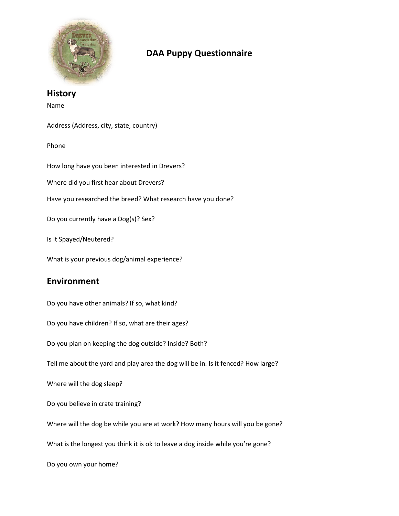

## **DAA Puppy Questionnaire**

## **History** Name Address (Address, city, state, country) Phone How long have you been interested in Drevers? Where did you first hear about Drevers? Have you researched the breed? What research have you done? Do you currently have a Dog(s)? Sex? Is it Spayed/Neutered? What is your previous dog/animal experience? **Environment** Do you have other animals? If so, what kind? Do you have children? If so, what are their ages?

Do you plan on keeping the dog outside? Inside? Both?

Tell me about the yard and play area the dog will be in. Is it fenced? How large?

Where will the dog sleep?

Do you believe in crate training?

Where will the dog be while you are at work? How many hours will you be gone?

What is the longest you think it is ok to leave a dog inside while you're gone?

Do you own your home?